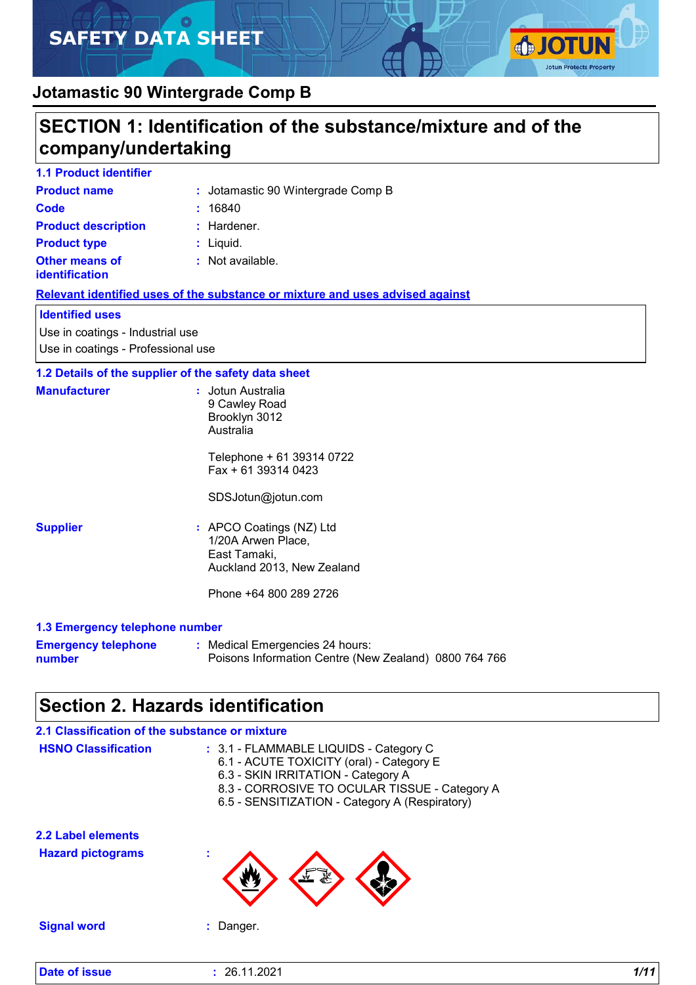# **SAFETY DATA SHEET**



### **Jotamastic 90 Wintergrade Comp B**

### **SECTION 1: Identification of the substance/mixture and of the company/undertaking**

| <b>1.1 Product identifier</b>                  |                                    |
|------------------------------------------------|------------------------------------|
| <b>Product name</b>                            | : Jotamastic 90 Wintergrade Comp B |
| Code                                           | : 16840                            |
| <b>Product description</b>                     | $:$ Hardener.                      |
| <b>Product type</b>                            | $:$ Liquid.                        |
| <b>Other means of</b><br><b>identification</b> | : Not available.                   |

#### **Relevant identified uses of the substance or mixture and uses advised against**

#### **Identified uses**

Use in coatings - Industrial use Use in coatings - Professional use

#### **1.2 Details of the supplier of the safety data sheet**

| <b>Manufacturer</b> | : Jotun Australia<br>9 Cawley Road<br>Brooklyn 3012<br>Australia                             |
|---------------------|----------------------------------------------------------------------------------------------|
|                     | Telephone + 61 39314 0722<br>$Fax + 61$ 39314 0423                                           |
|                     | SDSJotun@jotun.com                                                                           |
| <b>Supplier</b>     | : APCO Coatings (NZ) Ltd<br>1/20A Arwen Place,<br>East Tamaki,<br>Auckland 2013, New Zealand |
|                     | Phone +64 800 289 2726                                                                       |
|                     |                                                                                              |

#### **1.3 Emergency telephone number**

| <b>Emergency telephone</b> | : Medical Emergencies 24 hours:                       |  |
|----------------------------|-------------------------------------------------------|--|
| number                     | Poisons Information Centre (New Zealand) 0800 764 766 |  |

### **Section 2. Hazards identification**

| 2.1 Classification of the substance or mixture |                                                                                                                                                                                                                             |
|------------------------------------------------|-----------------------------------------------------------------------------------------------------------------------------------------------------------------------------------------------------------------------------|
| <b>HSNO Classification</b>                     | : 3.1 - FLAMMABLE LIQUIDS - Category C<br>6.1 - ACUTE TOXICITY (oral) - Category E<br>6.3 - SKIN IRRITATION - Category A<br>8.3 - CORROSIVE TO OCULAR TISSUE - Category A<br>6.5 - SENSITIZATION - Category A (Respiratory) |
| 2.2 Label elements                             |                                                                                                                                                                                                                             |
| <b>Hazard pictograms</b>                       |                                                                                                                                                                                                                             |
| <b>Signal word</b>                             | Danger.                                                                                                                                                                                                                     |
|                                                |                                                                                                                                                                                                                             |

**Date of issue :** 26.11.2021 *1/11*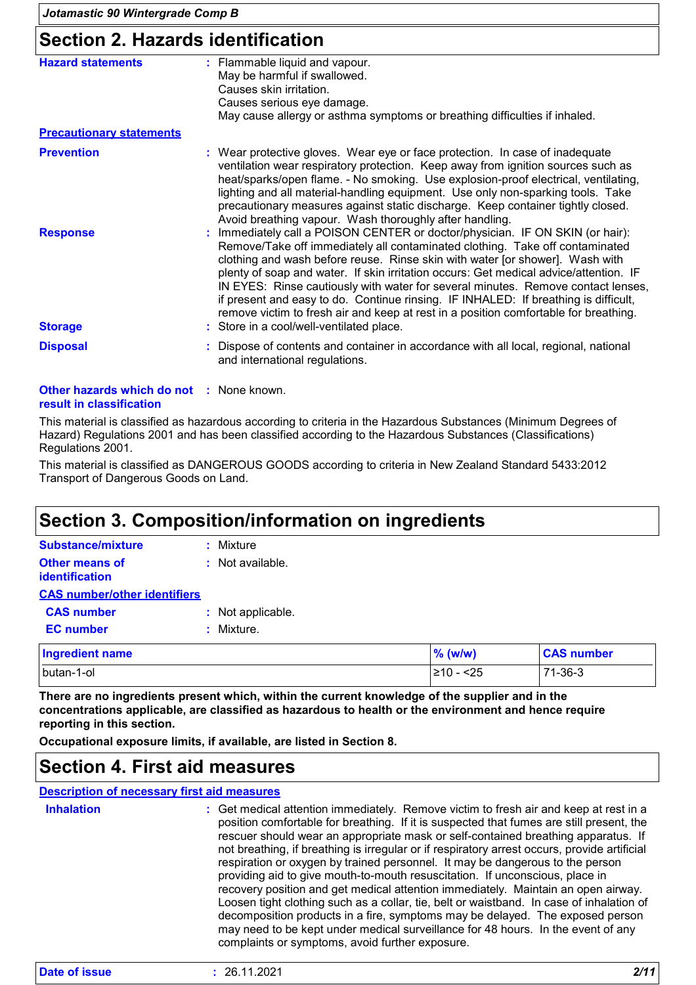### **Section 2. Hazards identification**

| <b>Hazard statements</b>        | : Flammable liquid and vapour.<br>May be harmful if swallowed.<br>Causes skin irritation.<br>Causes serious eye damage.<br>May cause allergy or asthma symptoms or breathing difficulties if inhaled.                                                                                                                                                                                                                                                                                                                                                                                                     |
|---------------------------------|-----------------------------------------------------------------------------------------------------------------------------------------------------------------------------------------------------------------------------------------------------------------------------------------------------------------------------------------------------------------------------------------------------------------------------------------------------------------------------------------------------------------------------------------------------------------------------------------------------------|
| <b>Precautionary statements</b> |                                                                                                                                                                                                                                                                                                                                                                                                                                                                                                                                                                                                           |
| <b>Prevention</b>               | : Wear protective gloves. Wear eye or face protection. In case of inadequate<br>ventilation wear respiratory protection. Keep away from ignition sources such as<br>heat/sparks/open flame. - No smoking. Use explosion-proof electrical, ventilating,<br>lighting and all material-handling equipment. Use only non-sparking tools. Take<br>precautionary measures against static discharge. Keep container tightly closed.<br>Avoid breathing vapour. Wash thoroughly after handling.                                                                                                                   |
| <b>Response</b>                 | : Immediately call a POISON CENTER or doctor/physician. IF ON SKIN (or hair):<br>Remove/Take off immediately all contaminated clothing. Take off contaminated<br>clothing and wash before reuse. Rinse skin with water [or shower]. Wash with<br>plenty of soap and water. If skin irritation occurs: Get medical advice/attention. IF<br>IN EYES: Rinse cautiously with water for several minutes. Remove contact lenses,<br>if present and easy to do. Continue rinsing. IF INHALED: If breathing is difficult,<br>remove victim to fresh air and keep at rest in a position comfortable for breathing. |
| <b>Storage</b>                  | : Store in a cool/well-ventilated place.                                                                                                                                                                                                                                                                                                                                                                                                                                                                                                                                                                  |
| <b>Disposal</b>                 | : Dispose of contents and container in accordance with all local, regional, national<br>and international regulations.                                                                                                                                                                                                                                                                                                                                                                                                                                                                                    |

#### **Other hazards which do not :** None known. **result in classification**

This material is classified as hazardous according to criteria in the Hazardous Substances (Minimum Degrees of Hazard) Regulations 2001 and has been classified according to the Hazardous Substances (Classifications) Regulations 2001.

This material is classified as DANGEROUS GOODS according to criteria in New Zealand Standard 5433:2012 Transport of Dangerous Goods on Land.

### **Section 3. Composition/information on ingredients**

| <b>Substance/mixture</b>            | : Mixture            |
|-------------------------------------|----------------------|
| <b>Other means of</b>               | $\pm$ Not available. |
| identification                      |                      |
| <b>CAS number/other identifiers</b> |                      |
| <b>CAS number</b>                   | : Not applicable.    |
| <b>EC</b> number                    | : Mixture.           |

| <b>Ingredient name</b> | $%$ (w/w)     | <b>CAS number</b> |
|------------------------|---------------|-------------------|
| butan-1-ol             | .≥10 -<br><25 | 71-36-3           |

**There are no ingredients present which, within the current knowledge of the supplier and in the concentrations applicable, are classified as hazardous to health or the environment and hence require reporting in this section.**

**Occupational exposure limits, if available, are listed in Section 8.**

### **Section 4. First aid measures**

**Description of necessary first aid measures**

| <b>Inhalation</b> | : Get medical attention immediately. Remove victim to fresh air and keep at rest in a<br>position comfortable for breathing. If it is suspected that fumes are still present, the<br>rescuer should wear an appropriate mask or self-contained breathing apparatus. If<br>not breathing, if breathing is irregular or if respiratory arrest occurs, provide artificial<br>respiration or oxygen by trained personnel. It may be dangerous to the person<br>providing aid to give mouth-to-mouth resuscitation. If unconscious, place in<br>recovery position and get medical attention immediately. Maintain an open airway.<br>Loosen tight clothing such as a collar, tie, belt or waistband. In case of inhalation of<br>decomposition products in a fire, symptoms may be delayed. The exposed person<br>may need to be kept under medical surveillance for 48 hours. In the event of any |
|-------------------|-----------------------------------------------------------------------------------------------------------------------------------------------------------------------------------------------------------------------------------------------------------------------------------------------------------------------------------------------------------------------------------------------------------------------------------------------------------------------------------------------------------------------------------------------------------------------------------------------------------------------------------------------------------------------------------------------------------------------------------------------------------------------------------------------------------------------------------------------------------------------------------------------|
|                   | complaints or symptoms, avoid further exposure.                                                                                                                                                                                                                                                                                                                                                                                                                                                                                                                                                                                                                                                                                                                                                                                                                                               |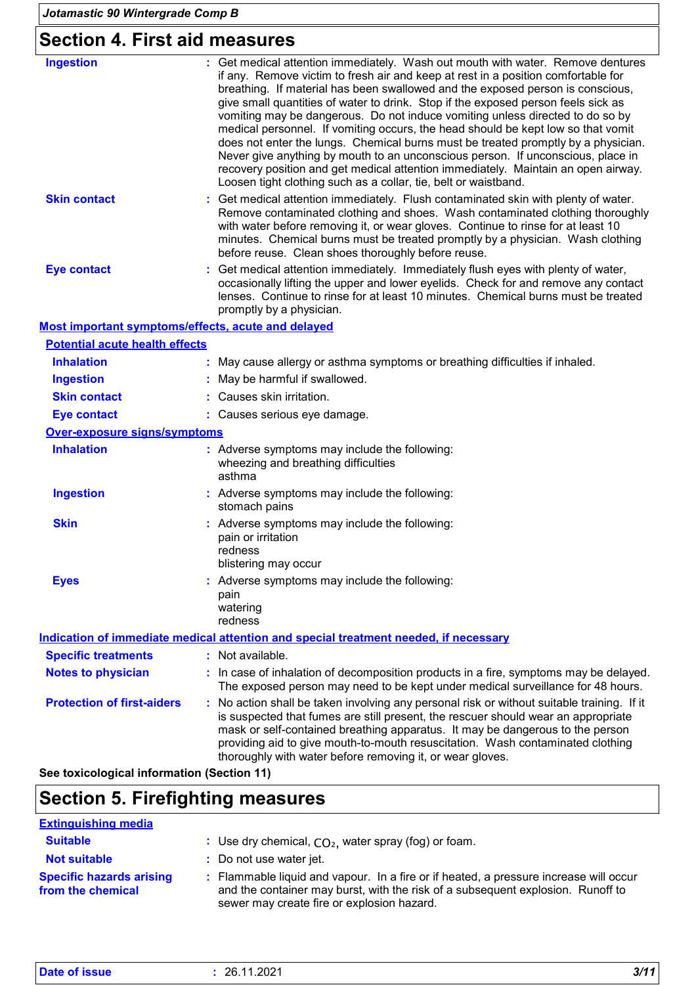# **Section 4. First aid measures**

| <b>Ingestion</b>                                   | : Get medical attention immediately. Wash out mouth with water. Remove dentures<br>if any. Remove victim to fresh air and keep at rest in a position comfortable for<br>breathing. If material has been swallowed and the exposed person is conscious,<br>give small quantities of water to drink. Stop if the exposed person feels sick as<br>vomiting may be dangerous. Do not induce vomiting unless directed to do so by<br>medical personnel. If vomiting occurs, the head should be kept low so that vomit<br>does not enter the lungs. Chemical burns must be treated promptly by a physician.<br>Never give anything by mouth to an unconscious person. If unconscious, place in<br>recovery position and get medical attention immediately. Maintain an open airway.<br>Loosen tight clothing such as a collar, tie, belt or waistband. |
|----------------------------------------------------|--------------------------------------------------------------------------------------------------------------------------------------------------------------------------------------------------------------------------------------------------------------------------------------------------------------------------------------------------------------------------------------------------------------------------------------------------------------------------------------------------------------------------------------------------------------------------------------------------------------------------------------------------------------------------------------------------------------------------------------------------------------------------------------------------------------------------------------------------|
| <b>Skin contact</b>                                | : Get medical attention immediately. Flush contaminated skin with plenty of water.<br>Remove contaminated clothing and shoes. Wash contaminated clothing thoroughly<br>with water before removing it, or wear gloves. Continue to rinse for at least 10<br>minutes. Chemical burns must be treated promptly by a physician. Wash clothing<br>before reuse. Clean shoes thoroughly before reuse.                                                                                                                                                                                                                                                                                                                                                                                                                                                  |
| <b>Eye contact</b>                                 | : Get medical attention immediately. Immediately flush eyes with plenty of water,<br>occasionally lifting the upper and lower eyelids. Check for and remove any contact<br>lenses. Continue to rinse for at least 10 minutes. Chemical burns must be treated<br>promptly by a physician.                                                                                                                                                                                                                                                                                                                                                                                                                                                                                                                                                         |
| Most important symptoms/effects, acute and delayed |                                                                                                                                                                                                                                                                                                                                                                                                                                                                                                                                                                                                                                                                                                                                                                                                                                                  |
| <b>Potential acute health effects</b>              |                                                                                                                                                                                                                                                                                                                                                                                                                                                                                                                                                                                                                                                                                                                                                                                                                                                  |
| <b>Inhalation</b>                                  | May cause allergy or asthma symptoms or breathing difficulties if inhaled.                                                                                                                                                                                                                                                                                                                                                                                                                                                                                                                                                                                                                                                                                                                                                                       |
| <b>Ingestion</b>                                   | May be harmful if swallowed.                                                                                                                                                                                                                                                                                                                                                                                                                                                                                                                                                                                                                                                                                                                                                                                                                     |
| <b>Skin contact</b>                                | : Causes skin irritation.                                                                                                                                                                                                                                                                                                                                                                                                                                                                                                                                                                                                                                                                                                                                                                                                                        |
| <b>Eye contact</b>                                 | : Causes serious eye damage.                                                                                                                                                                                                                                                                                                                                                                                                                                                                                                                                                                                                                                                                                                                                                                                                                     |
| <b>Over-exposure signs/symptoms</b>                |                                                                                                                                                                                                                                                                                                                                                                                                                                                                                                                                                                                                                                                                                                                                                                                                                                                  |
| <b>Inhalation</b>                                  | : Adverse symptoms may include the following:<br>wheezing and breathing difficulties<br>asthma                                                                                                                                                                                                                                                                                                                                                                                                                                                                                                                                                                                                                                                                                                                                                   |
| <b>Ingestion</b>                                   | : Adverse symptoms may include the following:<br>stomach pains                                                                                                                                                                                                                                                                                                                                                                                                                                                                                                                                                                                                                                                                                                                                                                                   |
| <b>Skin</b>                                        | : Adverse symptoms may include the following:<br>pain or irritation<br>redness<br>blistering may occur                                                                                                                                                                                                                                                                                                                                                                                                                                                                                                                                                                                                                                                                                                                                           |
| <b>Eyes</b>                                        | : Adverse symptoms may include the following:<br>pain<br>watering<br>redness                                                                                                                                                                                                                                                                                                                                                                                                                                                                                                                                                                                                                                                                                                                                                                     |
|                                                    | Indication of immediate medical attention and special treatment needed, if necessary                                                                                                                                                                                                                                                                                                                                                                                                                                                                                                                                                                                                                                                                                                                                                             |
| <b>Specific treatments</b>                         | : Not available.                                                                                                                                                                                                                                                                                                                                                                                                                                                                                                                                                                                                                                                                                                                                                                                                                                 |
| <b>Notes to physician</b>                          | : In case of inhalation of decomposition products in a fire, symptoms may be delayed.<br>The exposed person may need to be kept under medical surveillance for 48 hours.                                                                                                                                                                                                                                                                                                                                                                                                                                                                                                                                                                                                                                                                         |
| <b>Protection of first-aiders</b>                  | : No action shall be taken involving any personal risk or without suitable training. If it<br>is suspected that fumes are still present, the rescuer should wear an appropriate<br>mask or self-contained breathing apparatus. It may be dangerous to the person<br>providing aid to give mouth-to-mouth resuscitation. Wash contaminated clothing<br>thoroughly with water before removing it, or wear gloves.                                                                                                                                                                                                                                                                                                                                                                                                                                  |
| See toxicological information (Section 11)         |                                                                                                                                                                                                                                                                                                                                                                                                                                                                                                                                                                                                                                                                                                                                                                                                                                                  |

# **Section 5. Firefighting measures**

| <b>Extinguishing media</b>                           |                                                                                                                                                                                                                        |
|------------------------------------------------------|------------------------------------------------------------------------------------------------------------------------------------------------------------------------------------------------------------------------|
| <b>Suitable</b>                                      | : Use dry chemical, $CO2$ , water spray (fog) or foam.                                                                                                                                                                 |
| <b>Not suitable</b>                                  | : Do not use water jet.                                                                                                                                                                                                |
| <b>Specific hazards arising</b><br>from the chemical | : Flammable liquid and vapour. In a fire or if heated, a pressure increase will occur<br>and the container may burst, with the risk of a subsequent explosion. Runoff to<br>sewer may create fire or explosion hazard. |

| <b>Date of issue</b> | 26.11.2021<br>the contract of the contract of the contract of the contract of the contract of the contract of the contract of | 3/11 |
|----------------------|-------------------------------------------------------------------------------------------------------------------------------|------|
|----------------------|-------------------------------------------------------------------------------------------------------------------------------|------|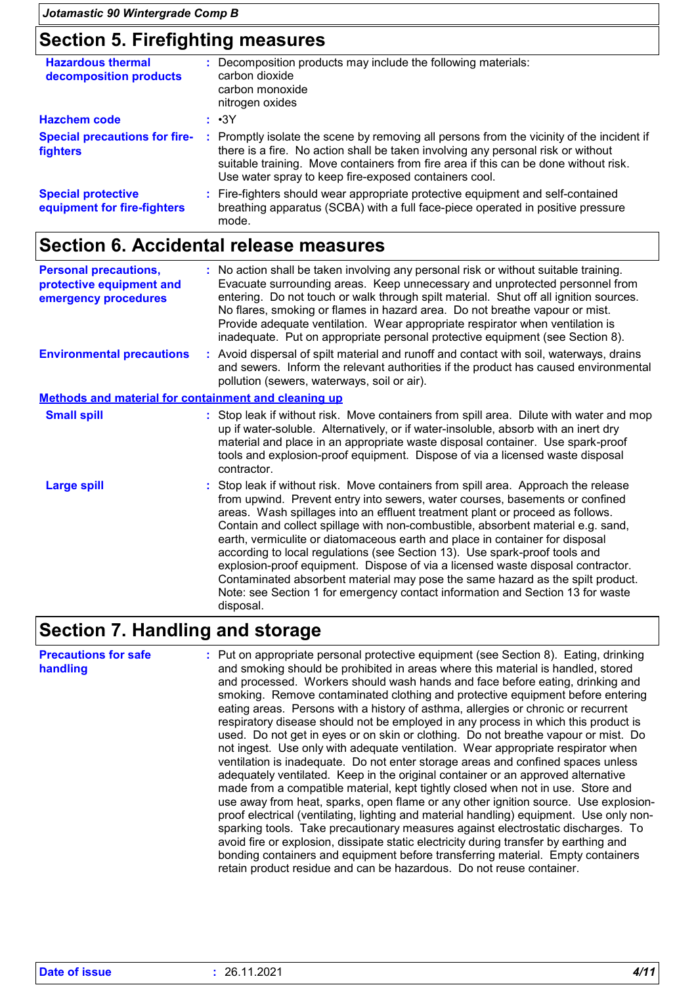### **Section 5. Firefighting measures**

| <b>Hazardous thermal</b><br>decomposition products       |    | : Decomposition products may include the following materials:<br>carbon dioxide<br>carbon monoxide<br>nitrogen oxides                                                                                                                                                                                                       |
|----------------------------------------------------------|----|-----------------------------------------------------------------------------------------------------------------------------------------------------------------------------------------------------------------------------------------------------------------------------------------------------------------------------|
| <b>Hazchem code</b>                                      |    | : •3Y                                                                                                                                                                                                                                                                                                                       |
| <b>Special precautions for fire-</b><br>fighters         | ÷. | Promptly isolate the scene by removing all persons from the vicinity of the incident if<br>there is a fire. No action shall be taken involving any personal risk or without<br>suitable training. Move containers from fire area if this can be done without risk.<br>Use water spray to keep fire-exposed containers cool. |
| <b>Special protective</b><br>equipment for fire-fighters |    | : Fire-fighters should wear appropriate protective equipment and self-contained<br>breathing apparatus (SCBA) with a full face-piece operated in positive pressure<br>mode.                                                                                                                                                 |

### **Section 6. Accidental release measures**

| <b>Personal precautions,</b><br>protective equipment and<br>emergency procedures | : No action shall be taken involving any personal risk or without suitable training.<br>Evacuate surrounding areas. Keep unnecessary and unprotected personnel from<br>entering. Do not touch or walk through spilt material. Shut off all ignition sources.<br>No flares, smoking or flames in hazard area. Do not breathe vapour or mist.<br>Provide adequate ventilation. Wear appropriate respirator when ventilation is<br>inadequate. Put on appropriate personal protective equipment (see Section 8).                                                                                                                                                                                                                                                             |  |  |  |
|----------------------------------------------------------------------------------|---------------------------------------------------------------------------------------------------------------------------------------------------------------------------------------------------------------------------------------------------------------------------------------------------------------------------------------------------------------------------------------------------------------------------------------------------------------------------------------------------------------------------------------------------------------------------------------------------------------------------------------------------------------------------------------------------------------------------------------------------------------------------|--|--|--|
| <b>Environmental precautions</b>                                                 | : Avoid dispersal of spilt material and runoff and contact with soil, waterways, drains<br>and sewers. Inform the relevant authorities if the product has caused environmental<br>pollution (sewers, waterways, soil or air).                                                                                                                                                                                                                                                                                                                                                                                                                                                                                                                                             |  |  |  |
| <b>Methods and material for containment and cleaning up</b>                      |                                                                                                                                                                                                                                                                                                                                                                                                                                                                                                                                                                                                                                                                                                                                                                           |  |  |  |
| <b>Small spill</b>                                                               | : Stop leak if without risk. Move containers from spill area. Dilute with water and mop<br>up if water-soluble. Alternatively, or if water-insoluble, absorb with an inert dry<br>material and place in an appropriate waste disposal container. Use spark-proof<br>tools and explosion-proof equipment. Dispose of via a licensed waste disposal<br>contractor.                                                                                                                                                                                                                                                                                                                                                                                                          |  |  |  |
| <b>Large spill</b>                                                               | : Stop leak if without risk. Move containers from spill area. Approach the release<br>from upwind. Prevent entry into sewers, water courses, basements or confined<br>areas. Wash spillages into an effluent treatment plant or proceed as follows.<br>Contain and collect spillage with non-combustible, absorbent material e.g. sand,<br>earth, vermiculite or diatomaceous earth and place in container for disposal<br>according to local regulations (see Section 13). Use spark-proof tools and<br>explosion-proof equipment. Dispose of via a licensed waste disposal contractor.<br>Contaminated absorbent material may pose the same hazard as the spilt product.<br>Note: see Section 1 for emergency contact information and Section 13 for waste<br>disposal. |  |  |  |

### **Section 7. Handling and storage**

**Precautions for safe handling** Put on appropriate personal protective equipment (see Section 8). Eating, drinking **:** and smoking should be prohibited in areas where this material is handled, stored and processed. Workers should wash hands and face before eating, drinking and smoking. Remove contaminated clothing and protective equipment before entering eating areas. Persons with a history of asthma, allergies or chronic or recurrent respiratory disease should not be employed in any process in which this product is used. Do not get in eyes or on skin or clothing. Do not breathe vapour or mist. Do not ingest. Use only with adequate ventilation. Wear appropriate respirator when ventilation is inadequate. Do not enter storage areas and confined spaces unless adequately ventilated. Keep in the original container or an approved alternative made from a compatible material, kept tightly closed when not in use. Store and use away from heat, sparks, open flame or any other ignition source. Use explosionproof electrical (ventilating, lighting and material handling) equipment. Use only nonsparking tools. Take precautionary measures against electrostatic discharges. To avoid fire or explosion, dissipate static electricity during transfer by earthing and bonding containers and equipment before transferring material. Empty containers retain product residue and can be hazardous. Do not reuse container.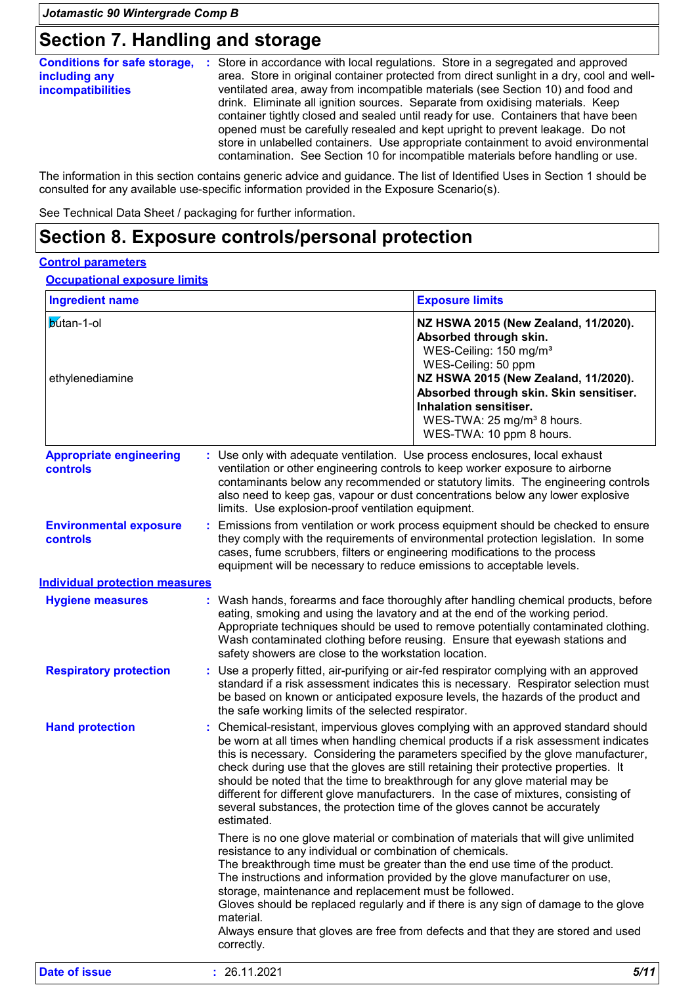### **Section 7. Handling and storage**

|                          | <b>Conditions for safe storage, :</b> Store in accordance with local regulations. Store in a segregated and approved |  |  |  |  |
|--------------------------|----------------------------------------------------------------------------------------------------------------------|--|--|--|--|
| including any            | area. Store in original container protected from direct sunlight in a dry, cool and well-                            |  |  |  |  |
| <b>incompatibilities</b> | ventilated area, away from incompatible materials (see Section 10) and food and                                      |  |  |  |  |
|                          | drink. Eliminate all ignition sources. Separate from oxidising materials. Keep                                       |  |  |  |  |
|                          | container tightly closed and sealed until ready for use. Containers that have been                                   |  |  |  |  |
|                          | opened must be carefully resealed and kept upright to prevent leakage. Do not                                        |  |  |  |  |
|                          | store in unlabelled containers. Use appropriate containment to avoid environmental                                   |  |  |  |  |
|                          | contamination. See Section 10 for incompatible materials before handling or use.                                     |  |  |  |  |

The information in this section contains generic advice and guidance. The list of Identified Uses in Section 1 should be consulted for any available use-specific information provided in the Exposure Scenario(s).

See Technical Data Sheet / packaging for further information.

### **Section 8. Exposure controls/personal protection**

#### **Control parameters**

**Occupational exposure limits**

| <b>Ingredient name</b>                            | <b>Exposure limits</b>                                                                                                                                                                                                                                                                                                                                                                                                                                                                                                                                                                                                  |  |  |  |
|---------------------------------------------------|-------------------------------------------------------------------------------------------------------------------------------------------------------------------------------------------------------------------------------------------------------------------------------------------------------------------------------------------------------------------------------------------------------------------------------------------------------------------------------------------------------------------------------------------------------------------------------------------------------------------------|--|--|--|
| <b>b</b> utan-1-ol<br>ethylenediamine             | NZ HSWA 2015 (New Zealand, 11/2020).<br>Absorbed through skin.<br>WES-Ceiling: 150 mg/m <sup>3</sup><br>WES-Ceiling: 50 ppm<br>NZ HSWA 2015 (New Zealand, 11/2020).<br>Absorbed through skin. Skin sensitiser.<br>Inhalation sensitiser.<br>WES-TWA: 25 mg/m <sup>3</sup> 8 hours.<br>WES-TWA: 10 ppm 8 hours.                                                                                                                                                                                                                                                                                                          |  |  |  |
| <b>Appropriate engineering</b><br><b>controls</b> | : Use only with adequate ventilation. Use process enclosures, local exhaust<br>ventilation or other engineering controls to keep worker exposure to airborne<br>contaminants below any recommended or statutory limits. The engineering controls<br>also need to keep gas, vapour or dust concentrations below any lower explosive<br>limits. Use explosion-proof ventilation equipment.                                                                                                                                                                                                                                |  |  |  |
| <b>Environmental exposure</b><br>controls         | Emissions from ventilation or work process equipment should be checked to ensure<br>÷.<br>they comply with the requirements of environmental protection legislation. In some<br>cases, fume scrubbers, filters or engineering modifications to the process<br>equipment will be necessary to reduce emissions to acceptable levels.                                                                                                                                                                                                                                                                                     |  |  |  |
| <b>Individual protection measures</b>             |                                                                                                                                                                                                                                                                                                                                                                                                                                                                                                                                                                                                                         |  |  |  |
| <b>Hygiene measures</b>                           | : Wash hands, forearms and face thoroughly after handling chemical products, before<br>eating, smoking and using the lavatory and at the end of the working period.<br>Appropriate techniques should be used to remove potentially contaminated clothing.<br>Wash contaminated clothing before reusing. Ensure that eyewash stations and<br>safety showers are close to the workstation location.                                                                                                                                                                                                                       |  |  |  |
| <b>Respiratory protection</b>                     | Use a properly fitted, air-purifying or air-fed respirator complying with an approved<br>standard if a risk assessment indicates this is necessary. Respirator selection must<br>be based on known or anticipated exposure levels, the hazards of the product and<br>the safe working limits of the selected respirator.                                                                                                                                                                                                                                                                                                |  |  |  |
| <b>Hand protection</b>                            | Chemical-resistant, impervious gloves complying with an approved standard should<br>be worn at all times when handling chemical products if a risk assessment indicates<br>this is necessary. Considering the parameters specified by the glove manufacturer,<br>check during use that the gloves are still retaining their protective properties. It<br>should be noted that the time to breakthrough for any glove material may be<br>different for different glove manufacturers. In the case of mixtures, consisting of<br>several substances, the protection time of the gloves cannot be accurately<br>estimated. |  |  |  |
|                                                   | There is no one glove material or combination of materials that will give unlimited<br>resistance to any individual or combination of chemicals.<br>The breakthrough time must be greater than the end use time of the product.<br>The instructions and information provided by the glove manufacturer on use,<br>storage, maintenance and replacement must be followed.<br>Gloves should be replaced regularly and if there is any sign of damage to the glove<br>material.<br>Always ensure that gloves are free from defects and that they are stored and used<br>correctly.                                         |  |  |  |
| <b>Date of issue</b>                              | : 26.11.2021<br>5/11                                                                                                                                                                                                                                                                                                                                                                                                                                                                                                                                                                                                    |  |  |  |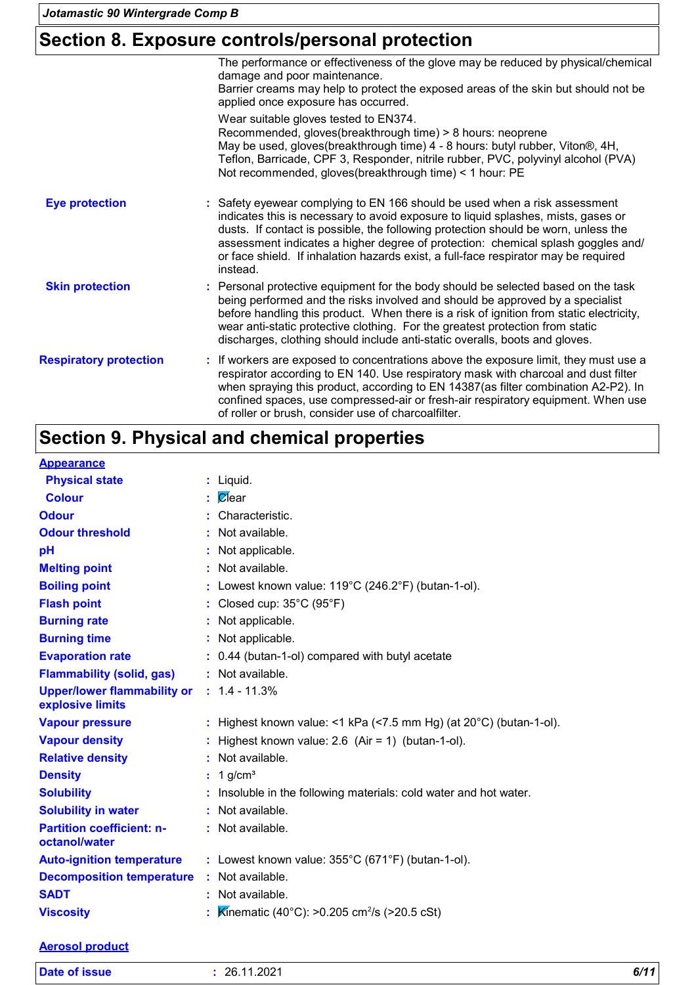# **Section 8. Exposure controls/personal protection**

|                               | The performance or effectiveness of the glove may be reduced by physical/chemical<br>damage and poor maintenance.<br>Barrier creams may help to protect the exposed areas of the skin but should not be<br>applied once exposure has occurred.                                                                                                                                                                                               |
|-------------------------------|----------------------------------------------------------------------------------------------------------------------------------------------------------------------------------------------------------------------------------------------------------------------------------------------------------------------------------------------------------------------------------------------------------------------------------------------|
|                               | Wear suitable gloves tested to EN374.<br>Recommended, gloves(breakthrough time) > 8 hours: neoprene<br>May be used, gloves(breakthrough time) 4 - 8 hours: butyl rubber, Viton®, 4H,<br>Teflon, Barricade, CPF 3, Responder, nitrile rubber, PVC, polyvinyl alcohol (PVA)<br>Not recommended, gloves(breakthrough time) < 1 hour: PE                                                                                                         |
| <b>Eye protection</b>         | : Safety eyewear complying to EN 166 should be used when a risk assessment<br>indicates this is necessary to avoid exposure to liquid splashes, mists, gases or<br>dusts. If contact is possible, the following protection should be worn, unless the<br>assessment indicates a higher degree of protection: chemical splash goggles and/<br>or face shield. If inhalation hazards exist, a full-face respirator may be required<br>instead. |
| <b>Skin protection</b>        | : Personal protective equipment for the body should be selected based on the task<br>being performed and the risks involved and should be approved by a specialist<br>before handling this product. When there is a risk of ignition from static electricity,<br>wear anti-static protective clothing. For the greatest protection from static<br>discharges, clothing should include anti-static overalls, boots and gloves.                |
| <b>Respiratory protection</b> | : If workers are exposed to concentrations above the exposure limit, they must use a<br>respirator according to EN 140. Use respiratory mask with charcoal and dust filter<br>when spraying this product, according to EN 14387(as filter combination A2-P2). In<br>confined spaces, use compressed-air or fresh-air respiratory equipment. When use<br>of roller or brush, consider use of charcoalfilter.                                  |

# **Section 9. Physical and chemical properties**

| <b>Appearance</b>                                 |                                                                              |
|---------------------------------------------------|------------------------------------------------------------------------------|
| <b>Physical state</b>                             | $:$ Liquid.                                                                  |
| <b>Colour</b>                                     | <i>C</i> lear                                                                |
| <b>Odour</b>                                      | : Characteristic.                                                            |
| <b>Odour threshold</b>                            | : Not available.                                                             |
| рH                                                | : Not applicable.                                                            |
| <b>Melting point</b>                              | : Not available.                                                             |
| <b>Boiling point</b>                              | : Lowest known value: $119^{\circ}$ C (246.2°F) (butan-1-ol).                |
| <b>Flash point</b>                                | : Closed cup: $35^{\circ}$ C (95 $^{\circ}$ F)                               |
| <b>Burning rate</b>                               | : Not applicable.                                                            |
| <b>Burning time</b>                               | : Not applicable.                                                            |
| <b>Evaporation rate</b>                           | : 0.44 (butan-1-ol) compared with butyl acetate                              |
| <b>Flammability (solid, gas)</b>                  | : Not available.                                                             |
| <b>Upper/lower flammability or</b>                | $: 1.4 - 11.3%$                                                              |
| explosive limits                                  |                                                                              |
| <b>Vapour pressure</b>                            | : Highest known value: <1 kPa (<7.5 mm Hg) (at $20^{\circ}$ C) (butan-1-ol). |
| <b>Vapour density</b>                             | : Highest known value: $2.6$ (Air = 1) (butan-1-ol).                         |
| <b>Relative density</b>                           | : Not available.                                                             |
| <b>Density</b>                                    | $: 1$ g/cm <sup>3</sup>                                                      |
| <b>Solubility</b>                                 | : Insoluble in the following materials: cold water and hot water.            |
| <b>Solubility in water</b>                        | : Not available.                                                             |
| <b>Partition coefficient: n-</b><br>octanol/water | : Not available.                                                             |
| <b>Auto-ignition temperature</b>                  | : Lowest known value: $355^{\circ}$ C (671°F) (butan-1-ol).                  |
| <b>Decomposition temperature</b>                  | : Not available.                                                             |
| <b>SADT</b>                                       | : Not available.                                                             |
| <b>Viscosity</b>                                  | Kinematic (40°C): >0.205 cm <sup>2</sup> /s (>20.5 cSt)                      |

#### **Aerosol product**

| <b>Date of issue</b> | 26.11.2021 | -74<br>O/1. |
|----------------------|------------|-------------|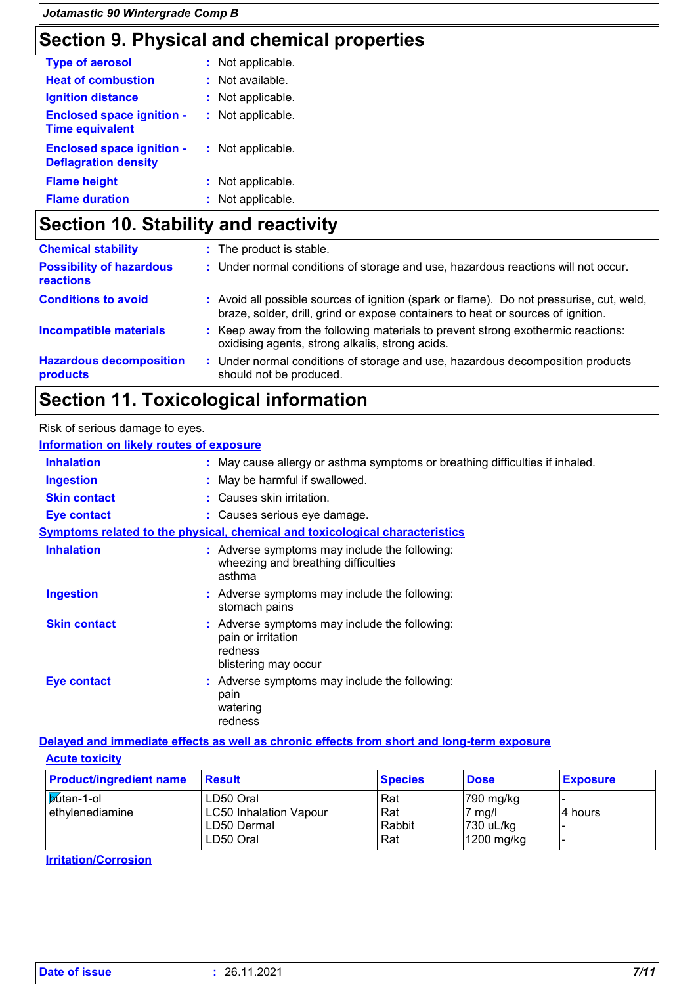# **Section 9. Physical and chemical properties**

| <b>Type of aerosol</b>                                          | : Not applicable. |
|-----------------------------------------------------------------|-------------------|
| <b>Heat of combustion</b>                                       | : Not available.  |
| <b>Ignition distance</b>                                        | : Not applicable. |
| <b>Enclosed space ignition -</b><br><b>Time equivalent</b>      | : Not applicable. |
| <b>Enclosed space ignition -</b><br><b>Deflagration density</b> | : Not applicable. |
| <b>Flame height</b>                                             | : Not applicable. |
| <b>Flame duration</b>                                           | : Not applicable. |

# **Section 10. Stability and reactivity**

| <b>Chemical stability</b>                    |      | : The product is stable.                                                                                                                                                     |
|----------------------------------------------|------|------------------------------------------------------------------------------------------------------------------------------------------------------------------------------|
| <b>Possibility of hazardous</b><br>reactions |      | : Under normal conditions of storage and use, hazardous reactions will not occur.                                                                                            |
| <b>Conditions to avoid</b>                   |      | : Avoid all possible sources of ignition (spark or flame). Do not pressurise, cut, weld,<br>braze, solder, drill, grind or expose containers to heat or sources of ignition. |
| <b>Incompatible materials</b>                |      | : Keep away from the following materials to prevent strong exothermic reactions:<br>oxidising agents, strong alkalis, strong acids.                                          |
| <b>Hazardous decomposition</b><br>products   | -200 | Under normal conditions of storage and use, hazardous decomposition products<br>should not be produced.                                                                      |

# **Section 11. Toxicological information**

| Risk of serious damage to eyes.                 |                                                                                                        |
|-------------------------------------------------|--------------------------------------------------------------------------------------------------------|
| <b>Information on likely routes of exposure</b> |                                                                                                        |
| <b>Inhalation</b>                               | : May cause allergy or asthma symptoms or breathing difficulties if inhaled.                           |
| <b>Ingestion</b>                                | : May be harmful if swallowed.                                                                         |
| <b>Skin contact</b>                             | : Causes skin irritation.                                                                              |
| <b>Eye contact</b>                              | : Causes serious eye damage.                                                                           |
|                                                 | <b>Symptoms related to the physical, chemical and toxicological characteristics</b>                    |
| <b>Inhalation</b>                               | : Adverse symptoms may include the following:<br>wheezing and breathing difficulties<br>asthma         |
| <b>Ingestion</b>                                | : Adverse symptoms may include the following:<br>stomach pains                                         |
| <b>Skin contact</b>                             | : Adverse symptoms may include the following:<br>pain or irritation<br>redness<br>blistering may occur |
| Eye contact                                     | : Adverse symptoms may include the following:<br>pain<br>watering<br>redness                           |

#### **Acute toxicity Delayed and immediate effects as well as chronic effects from short and long-term exposure**

| <b>Product/ingredient name</b>        | <b>Result</b>                                                          | <b>Species</b>                | <b>Dose</b>                                              | <b>Exposure</b> |
|---------------------------------------|------------------------------------------------------------------------|-------------------------------|----------------------------------------------------------|-----------------|
| <b>b</b> utan-1-ol<br>ethylenediamine | LD50 Oral<br><b>LC50 Inhalation Vapour</b><br>LD50 Dermal<br>LD50 Oral | . Rat<br>Rat<br>Rabbit<br>Rat | 790 mg/kg<br>$7 \text{ mg/l}$<br>730 uL/kg<br>1200 mg/kg | 4 hours         |

**Irritation/Corrosion**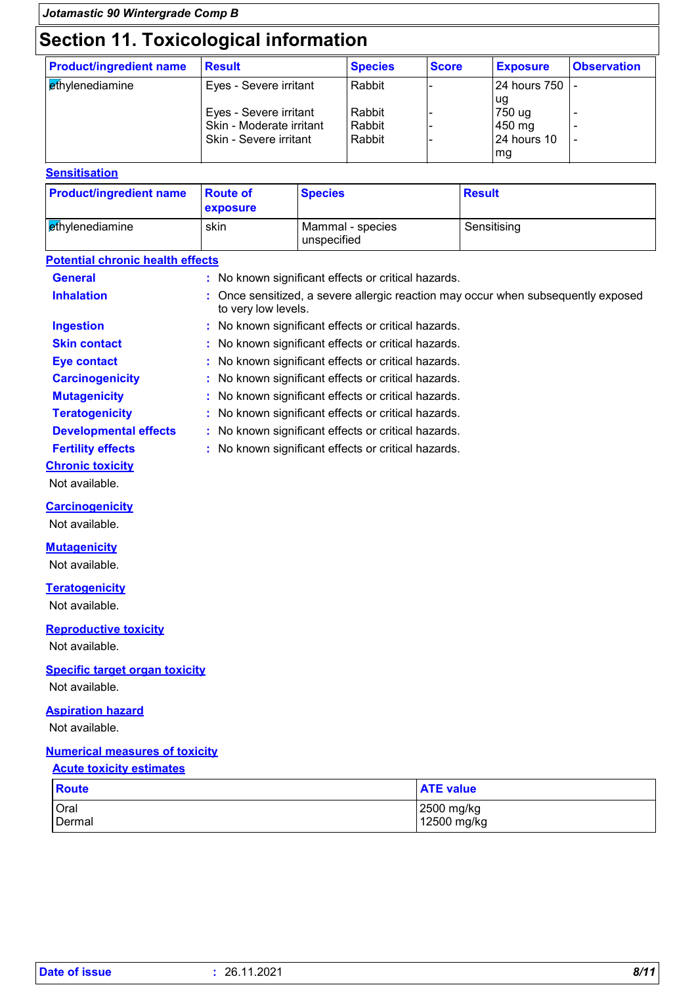# **Section 11. Toxicological information**

| seenon ru. roxicological information<br><b>Product/ingredient name</b> | <b>Result</b>                                      | <b>Species</b>   | <b>Score</b> | <b>Exposure</b>              | <b>Observation</b> |
|------------------------------------------------------------------------|----------------------------------------------------|------------------|--------------|------------------------------|--------------------|
| <b><i><u>ethylenediamine</u></i></b>                                   | Eyes - Severe irritant                             | Rabbit           |              | 24 hours 750                 |                    |
|                                                                        | Eyes - Severe irritant                             | Rabbit           |              | ug<br>750 ug                 |                    |
|                                                                        | Skin - Moderate irritant<br>Skin - Severe irritant | Rabbit<br>Rabbit |              | 450 mg<br><b>24 hours 10</b> |                    |
|                                                                        |                                                    |                  |              | mg                           |                    |

#### **Sensitisation**

| <b>Product/ingredient name</b>  | <b>Route of</b><br><b>exposure</b> | <b>Species</b>                  | <b>Result</b> |
|---------------------------------|------------------------------------|---------------------------------|---------------|
| l <mark>e</mark> thvlenediamine | skin                               | Mammal - species<br>unspecified | Sensitising   |

#### **Potential chronic health effects**

| <b>General</b>               | : No known significant effects or critical hazards.                                                      |  |
|------------------------------|----------------------------------------------------------------------------------------------------------|--|
| <b>Inhalation</b>            | : Once sensitized, a severe allergic reaction may occur when subsequently exposed<br>to very low levels. |  |
| <b>Ingestion</b>             | : No known significant effects or critical hazards.                                                      |  |
| <b>Skin contact</b>          | : No known significant effects or critical hazards.                                                      |  |
| <b>Eye contact</b>           | : No known significant effects or critical hazards.                                                      |  |
| <b>Carcinogenicity</b>       | : No known significant effects or critical hazards.                                                      |  |
| <b>Mutagenicity</b>          | : No known significant effects or critical hazards.                                                      |  |
| <b>Teratogenicity</b>        | : No known significant effects or critical hazards.                                                      |  |
| <b>Developmental effects</b> | : No known significant effects or critical hazards.                                                      |  |
| <b>Fertility effects</b>     | : No known significant effects or critical hazards.                                                      |  |
| <b>Chronic toxicity</b>      |                                                                                                          |  |
|                              |                                                                                                          |  |

Not available.

#### **Carcinogenicity**

Not available.

#### **Mutagenicity**

Not available.

#### **Teratogenicity**

Not available.

#### **Reproductive toxicity**

Not available.

#### **Specific target organ toxicity**

Not available.

#### **Aspiration hazard**

Not available.

#### **Numerical measures of toxicity**

#### **Acute toxicity estimates**

| Route  | <b>ATE value</b> |
|--------|------------------|
| Oral   | 2500 mg/kg       |
| Dermal | 12500 mg/kg      |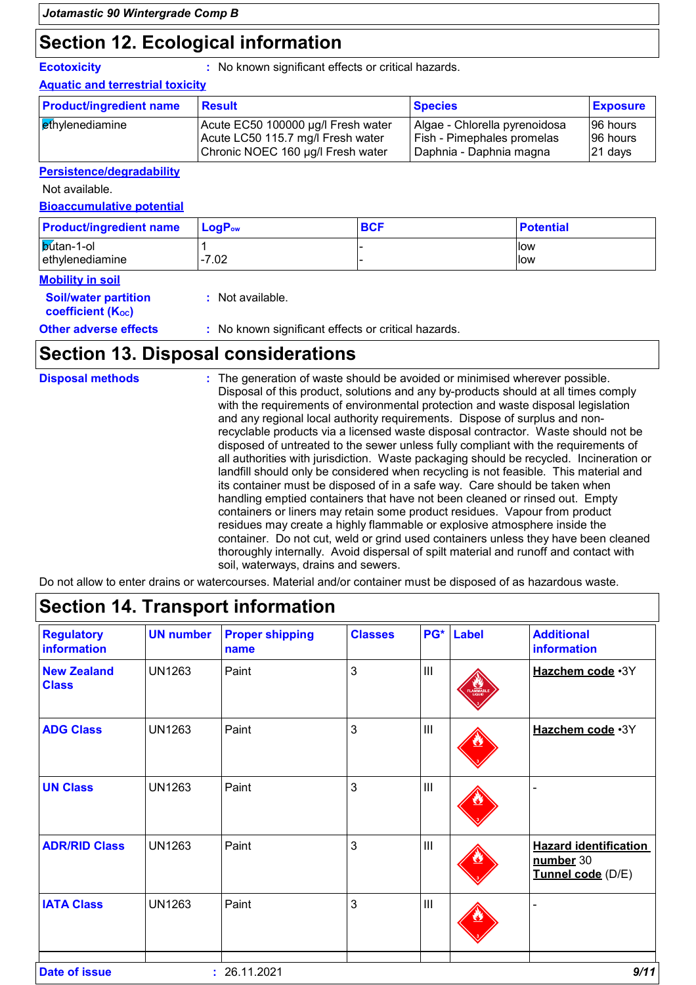### **Section 12. Ecological information**

**Ecotoxicity :** No known significant effects or critical hazards.

#### **Aquatic and terrestrial toxicity**

| <b>Product/ingredient name</b> | <b>Result</b>                      | <b>Species</b>                | <b>Exposure</b> |
|--------------------------------|------------------------------------|-------------------------------|-----------------|
| <b>ethylenediamine</b>         | Acute EC50 100000 µg/l Fresh water | Algae - Chlorella pyrenoidosa | 196 hours       |
|                                | Acute LC50 115.7 mg/l Fresh water  | Fish - Pimephales promelas    | 196 hours       |
|                                | Chronic NOEC 160 µg/l Fresh water  | Daphnia - Daphnia magna       | $ 21$ days      |

#### **Persistence/degradability**

Not available.

#### **Bioaccumulative potential**

| <b>Product/ingredient name</b>        | $\mathsf{LocP}_\mathsf{ow}$ | <b>BCF</b> | <b>Potential</b> |
|---------------------------------------|-----------------------------|------------|------------------|
| <b>b</b> utan-1-ol<br>ethylenediamine | -7.02                       |            | llow<br>llow     |

#### **Mobility in soil**

| <b>Soil/water partition</b><br>coefficient (K <sub>oc</sub> ) | : Not available.                                    |
|---------------------------------------------------------------|-----------------------------------------------------|
| <b>Other adverse effects</b>                                  | : No known significant effects or critical hazards. |
|                                                               |                                                     |

# **Section 13. Disposal considerations**

| <b>Disposal methods</b> | : The generation of waste should be avoided or minimised wherever possible.<br>Disposal of this product, solutions and any by-products should at all times comply<br>with the requirements of environmental protection and waste disposal legislation<br>and any regional local authority requirements. Dispose of surplus and non-<br>recyclable products via a licensed waste disposal contractor. Waste should not be<br>disposed of untreated to the sewer unless fully compliant with the requirements of<br>all authorities with jurisdiction. Waste packaging should be recycled. Incineration or<br>landfill should only be considered when recycling is not feasible. This material and<br>its container must be disposed of in a safe way. Care should be taken when<br>handling emptied containers that have not been cleaned or rinsed out. Empty<br>containers or liners may retain some product residues. Vapour from product<br>residues may create a highly flammable or explosive atmosphere inside the<br>container. Do not cut, weld or grind used containers unless they have been cleaned<br>thoroughly internally. Avoid dispersal of spilt material and runoff and contact with |
|-------------------------|--------------------------------------------------------------------------------------------------------------------------------------------------------------------------------------------------------------------------------------------------------------------------------------------------------------------------------------------------------------------------------------------------------------------------------------------------------------------------------------------------------------------------------------------------------------------------------------------------------------------------------------------------------------------------------------------------------------------------------------------------------------------------------------------------------------------------------------------------------------------------------------------------------------------------------------------------------------------------------------------------------------------------------------------------------------------------------------------------------------------------------------------------------------------------------------------------------|
|                         | soil, waterways, drains and sewers.                                                                                                                                                                                                                                                                                                                                                                                                                                                                                                                                                                                                                                                                                                                                                                                                                                                                                                                                                                                                                                                                                                                                                                    |

Do not allow to enter drains or watercourses. Material and/or container must be disposed of as hazardous waste.

| <b>Regulatory</b><br><b>information</b> | <b>UN number</b> | <b>Proper shipping</b><br>name | <b>Classes</b> |     | PG* Label         | <b>Additional</b><br>information                               |
|-----------------------------------------|------------------|--------------------------------|----------------|-----|-------------------|----------------------------------------------------------------|
| <b>New Zealand</b><br><b>Class</b>      | <b>UN1263</b>    | Paint                          | $\mathbf{3}$   | III | LAMMABL<br>LIQUID | Hazchem code .3Y                                               |
| <b>ADG Class</b>                        | <b>UN1263</b>    | Paint                          | 3              | III |                   | Hazchem code .3Y                                               |
| <b>UN Class</b>                         | <b>UN1263</b>    | Paint                          | $\mathbf{3}$   | III |                   |                                                                |
| <b>ADR/RID Class</b>                    | <b>UN1263</b>    | Paint                          | $\mathbf{3}$   | III |                   | <b>Hazard identification</b><br>number 30<br>Tunnel code (D/E) |
| <b>IATA Class</b>                       | <b>UN1263</b>    | Paint                          | $\mathbf{3}$   | III |                   |                                                                |

### **Section 14. Transport information**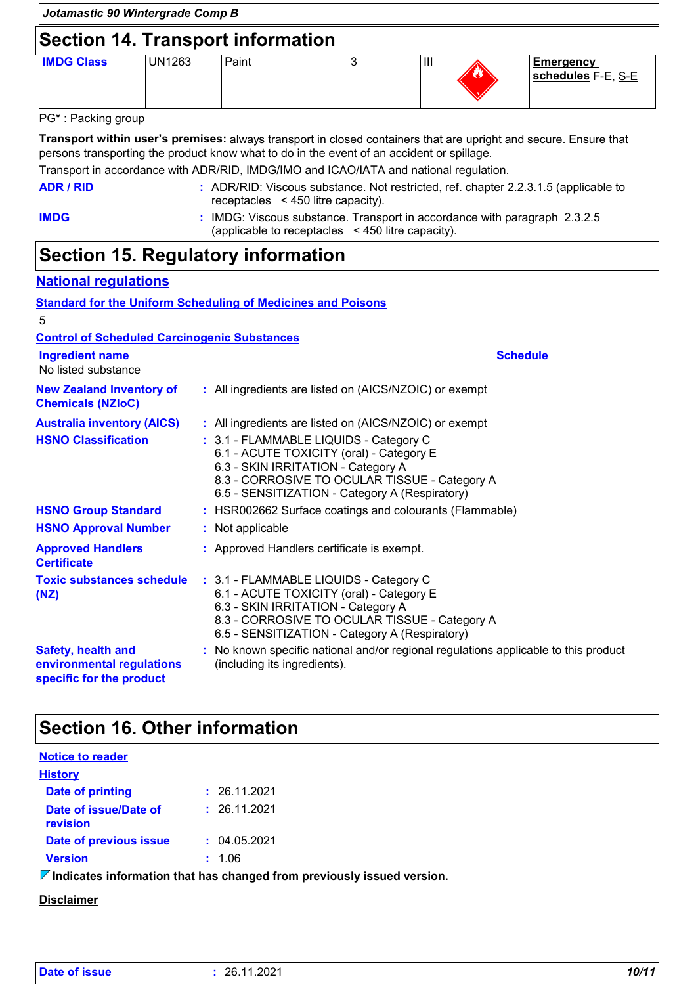# **Section 14. Transport information**

| UN1263 | Paint | $\mathbf{  }$ | <u>42</u> | <b>Emergency</b><br>schedules F-E, S-E |
|--------|-------|---------------|-----------|----------------------------------------|
|        |       |               |           |                                        |

#### PG\* : Packing group

**Transport within user's premises:** always transport in closed containers that are upright and secure. Ensure that persons transporting the product know what to do in the event of an accident or spillage.

Transport in accordance with ADR/RID, IMDG/IMO and ICAO/IATA and national regulation.

| ADR / RID | : ADR/RID: Viscous substance. Not restricted, ref. chapter 2.2.3.1.5 (applicable to |
|-----------|-------------------------------------------------------------------------------------|
|           | receptacles $\leq 450$ litre capacity).                                             |

**IMDG :** IMDG: Viscous substance. Transport in accordance with paragraph 2.3.2.5 (applicable to receptacles < 450 litre capacity).

### **Section 15. Regulatory information**

#### **National regulations**

|                                                                             | <b>Standard for the Uniform Scheduling of Medicines and Poisons</b>                                                                                                                                                         |
|-----------------------------------------------------------------------------|-----------------------------------------------------------------------------------------------------------------------------------------------------------------------------------------------------------------------------|
| 5                                                                           |                                                                                                                                                                                                                             |
| <b>Control of Scheduled Carcinogenic Substances</b>                         |                                                                                                                                                                                                                             |
| <b>Ingredient name</b><br>No listed substance                               | <b>Schedule</b>                                                                                                                                                                                                             |
| <b>New Zealand Inventory of</b><br><b>Chemicals (NZIoC)</b>                 | : All ingredients are listed on (AICS/NZOIC) or exempt                                                                                                                                                                      |
| <b>Australia inventory (AICS)</b>                                           | : All ingredients are listed on (AICS/NZOIC) or exempt                                                                                                                                                                      |
| <b>HSNO Classification</b>                                                  | : 3.1 - FLAMMABLE LIQUIDS - Category C<br>6.1 - ACUTE TOXICITY (oral) - Category E<br>6.3 - SKIN IRRITATION - Category A<br>8.3 - CORROSIVE TO OCULAR TISSUE - Category A<br>6.5 - SENSITIZATION - Category A (Respiratory) |
| <b>HSNO Group Standard</b>                                                  | : HSR002662 Surface coatings and colourants (Flammable)                                                                                                                                                                     |
| <b>HSNO Approval Number</b>                                                 | : Not applicable                                                                                                                                                                                                            |
| <b>Approved Handlers</b><br><b>Certificate</b>                              | : Approved Handlers certificate is exempt.                                                                                                                                                                                  |
| <b>Toxic substances schedule</b><br>(NZ)                                    | : 3.1 - FLAMMABLE LIQUIDS - Category C<br>6.1 - ACUTE TOXICITY (oral) - Category E<br>6.3 - SKIN IRRITATION - Category A<br>8.3 - CORROSIVE TO OCULAR TISSUE - Category A<br>6.5 - SENSITIZATION - Category A (Respiratory) |
| Safety, health and<br>environmental regulations<br>specific for the product | : No known specific national and/or regional regulations applicable to this product<br>(including its ingredients).                                                                                                         |

### **Section 16. Other information**

| <b>Notice to reader</b>           |                                                                         |
|-----------------------------------|-------------------------------------------------------------------------|
| <b>History</b>                    |                                                                         |
| <b>Date of printing</b>           | : 26.11.2021                                                            |
| Date of issue/Date of<br>revision | : 26.11.2021                                                            |
| Date of previous issue            | : 04.05.2021                                                            |
| <b>Version</b>                    | : 1.06                                                                  |
|                                   | <u>ladioates information that has abonsed from proviaugh: issued va</u> |

**Indicates information that has changed from previously issued version.**

#### **Disclaimer**

| Date of issue | 26.11.2021 | 10/11 |
|---------------|------------|-------|
|---------------|------------|-------|